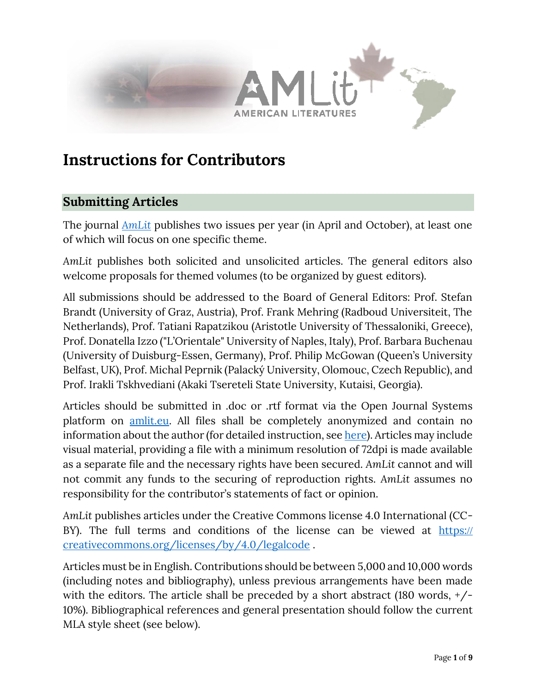

# **Instructions for Contributors**

## **Submitting Articles**

The journal *[AmLit](http://www.amlit.eu/)* publishes two issues per year (in April and October), at least one of which will focus on one specific theme.

*AmLit* publishes both solicited and unsolicited articles. The general editors also welcome proposals for themed volumes (to be organized by guest editors).

All submissions should be addressed to the Board of General Editors: Prof. Stefan Brandt (University of Graz, Austria), Prof. Frank Mehring (Radboud Universiteit, The Netherlands), Prof. Tatiani Rapatzikou (Aristotle University of Thessaloniki, Greece), Prof. Donatella Izzo ("L'Orientale" University of Naples, Italy), Prof. Barbara Buchenau (University of Duisburg-Essen, Germany), Prof. Philip McGowan (Queen's University Belfast, UK), Prof. Michal Peprnik (Palacký University, Olomouc, Czech Republic), and Prof. Irakli Tskhvediani (Akaki Tsereteli State University, Kutaisi, Georgia).

Articles should be submitted in .doc or .rtf format via the Open Journal Systems platform on [amlit.eu.](http://www.amlit.eu/) All files shall be completely anonymized and contain no information about the author (for detailed instruction, see [here\)](https://www.siam.org/publications/journals/related/journal-policies/detail/protecting-referee-personal-information). Articles may include visual material, providing a file with a minimum resolution of 72dpi is made available as a separate file and the necessary rights have been secured. *AmLit* cannot and will not commit any funds to the securing of reproduction rights. *AmLit* assumes no responsibility for the contributor's statements of fact or opinion.

*AmLit* publishes articles under the Creative Commons license 4.0 International (CC-BY). The full terms and conditions of the license can be viewed at https:// creativecommons.org/licenses/by/4.0/legalcode .

Articles must be in English. Contributions should be between 5,000 and 10,000 words (including notes and bibliography), unless previous arrangements have been made with the editors. The article shall be preceded by a short abstract (180 words, +/- 10%). Bibliographical references and general presentation should follow the current MLA style sheet (see below).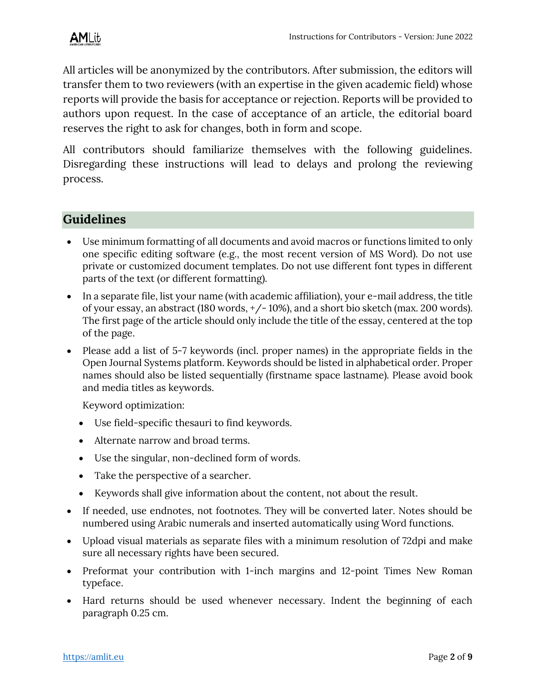All articles will be anonymized by the contributors. After submission, the editors will transfer them to two reviewers (with an expertise in the given academic field) whose reports will provide the basis for acceptance or rejection. Reports will be provided to authors upon request. In the case of acceptance of an article, the editorial board reserves the right to ask for changes, both in form and scope.

All contributors should familiarize themselves with the following guidelines. Disregarding these instructions will lead to delays and prolong the reviewing process.

## **Guidelines**

- Use minimum formatting of all documents and avoid macros or functions limited to only one specific editing software (e.g., the most recent version of MS Word). Do not use private or customized document templates. Do not use different font types in different parts of the text (or different formatting).
- In a separate file, list your name (with academic affiliation), your e-mail address, the title of your essay, an abstract (180 words, +/- 10%), and a short bio sketch (max. 200 words). The first page of the article should only include the title of the essay, centered at the top of the page.
- Please add a list of 5-7 keywords (incl. proper names) in the appropriate fields in the Open Journal Systems platform. Keywords should be listed in alphabetical order. Proper names should also be listed sequentially (firstname space lastname). Please avoid book and media titles as keywords.

Keyword optimization:

- Use field-specific thesauri to find keywords.
- Alternate narrow and broad terms.
- Use the singular, non-declined form of words.
- Take the perspective of a searcher.
- Keywords shall give information about the content, not about the result.
- If needed, use endnotes, not footnotes. They will be converted later. Notes should be numbered using Arabic numerals and inserted automatically using Word functions.
- Upload visual materials as separate files with a minimum resolution of 72dpi and make sure all necessary rights have been secured.
- Preformat your contribution with 1-inch margins and 12-point Times New Roman typeface.
- Hard returns should be used whenever necessary. Indent the beginning of each paragraph 0.25 cm.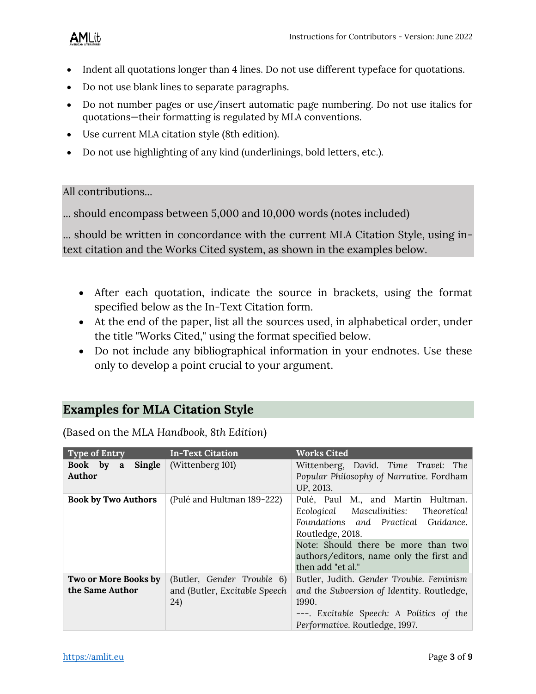## AMLit

- Indent all quotations longer than 4 lines. Do not use different typeface for quotations.
- Do not use blank lines to separate paragraphs.
- Do not number pages or use/insert automatic page numbering. Do not use italics for quotations—their formatting is regulated by MLA conventions.
- Use current MLA citation style (8th edition).
- Do not use highlighting of any kind (underlinings, bold letters, etc.).

All contributions...

... should encompass between 5,000 and 10,000 words (notes included)

... should be written in concordance with the current MLA Citation Style, using intext citation and the Works Cited system, as shown in the examples below.

- After each quotation, indicate the source in brackets, using the format specified below as the In-Text Citation form.
- At the end of the paper, list all the sources used, in alphabetical order, under the title "Works Cited," using the format specified below.
- Do not include any bibliographical information in your endnotes. Use these only to develop a point crucial to your argument.

## **Examples for MLA Citation Style**

| <b>Type of Entry</b>                    | <b>In-Text Citation</b>                                             | <b>Works Cited</b>                                                                                                                                                                                                                                |
|-----------------------------------------|---------------------------------------------------------------------|---------------------------------------------------------------------------------------------------------------------------------------------------------------------------------------------------------------------------------------------------|
| Single<br>Book by a<br>Author           | (Wittenberg 101)                                                    | Wittenberg, David. Time Travel: The<br>Popular Philosophy of Narrative. Fordham<br>UP, 2013.                                                                                                                                                      |
| <b>Book by Two Authors</b>              | (Pulé and Hultman 189-222)                                          | Pulé, Paul M., and Martin Hultman.<br>Ecological<br>Masculinities: Theoretical<br>Foundations and Practical Guidance.<br>Routledge, 2018.<br>Note: Should there be more than two<br>authors/editors, name only the first and<br>then add "et al." |
| Two or More Books by<br>the Same Author | (Butler, Gender Trouble 6)<br>and (Butler, Excitable Speech)<br>24) | Butler, Judith. Gender Trouble. Feminism<br>and the Subversion of Identity. Routledge,<br>1990.<br>---. Excitable Speech: A Politics of the<br>Performative. Routledge, 1997.                                                                     |

(Based on the *MLA Handbook, 8th Edition*)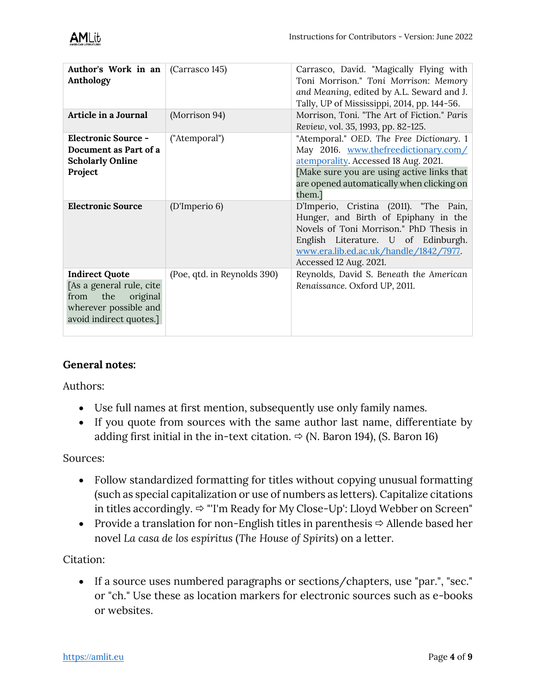| Author's Work in an<br>Anthology                                                                                                  | (Carrasco 145)              | Carrasco, Davíd. "Magically Flying with<br>Toni Morrison." Toni Morrison: Memory<br>and Meaning, edited by A.L. Seward and J.<br>Tally, UP of Mississippi, 2014, pp. 144-56.                                                         |
|-----------------------------------------------------------------------------------------------------------------------------------|-----------------------------|--------------------------------------------------------------------------------------------------------------------------------------------------------------------------------------------------------------------------------------|
| Article in a Journal                                                                                                              | (Morrison 94)               | Morrison, Toni. "The Art of Fiction." Paris<br>Review, vol. 35, 1993, pp. 82-125.                                                                                                                                                    |
| <b>Electronic Source -</b><br>Document as Part of a<br><b>Scholarly Online</b><br>Project                                         | ("Atemporal")               | "Atemporal." OED. The Free Dictionary. 1<br>May 2016. www.thefreedictionary.com/<br>atemporality. Accessed 18 Aug. 2021.<br>Make sure you are using active links that<br>are opened automatically when clicking on<br>them.]         |
| <b>Electronic Source</b>                                                                                                          | (D'Imperio 6)               | D'Imperio, Cristina (2011). "The Pain,<br>Hunger, and Birth of Epiphany in the<br>Novels of Toni Morrison." PhD Thesis in<br>English Literature. U of Edinburgh.<br>www.era.lib.ed.ac.uk/handle/1842/7977.<br>Accessed 12 Aug. 2021. |
| <b>Indirect Quote</b><br>[As a general rule, cite]<br>original<br>the<br>from<br>wherever possible and<br>avoid indirect quotes.] | (Poe, qtd. in Reynolds 390) | Reynolds, David S. Beneath the American<br>Renaissance. Oxford UP, 2011.                                                                                                                                                             |

## **General notes:**

Authors:

- Use full names at first mention, subsequently use only family names.
- If you quote from sources with the same author last name, differentiate by adding first initial in the in-text citation.  $\Rightarrow$  (N. Baron 194), (S. Baron 16)

Sources:

- Follow standardized formatting for titles without copying unusual formatting (such as special capitalization or use of numbers as letters). Capitalize citations in titles accordingly.  $\Rightarrow$  "'I'm Ready for My Close-Up': Lloyd Webber on Screen"
- Provide a translation for non-English titles in parenthesis  $\Leftrightarrow$  Allende based her novel *La casa de los espíritus* (*The House of Spirits*) on a letter.

Citation:

• If a source uses numbered paragraphs or sections/chapters, use "par.", "sec." or "ch." Use these as location markers for electronic sources such as e-books or websites.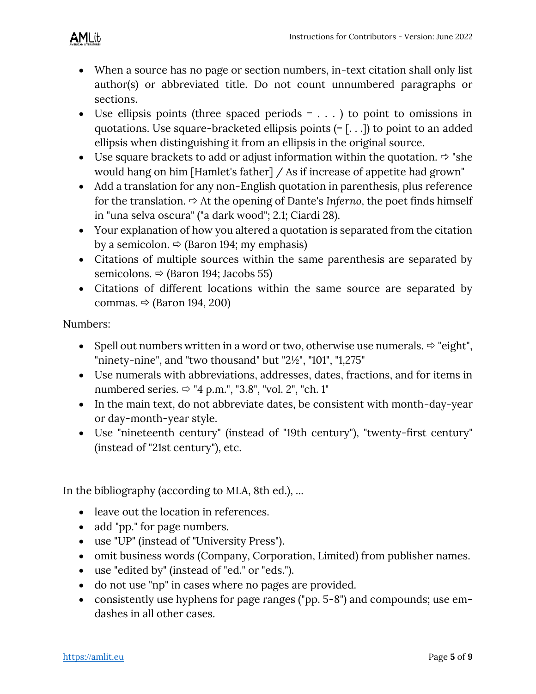

- When a source has no page or section numbers, in-text citation shall only list author(s) or abbreviated title. Do not count unnumbered paragraphs or sections.
- Use ellipsis points (three spaced periods  $= \ldots$ ) to point to omissions in quotations. Use square-bracketed ellipsis points  $(=[...])$  to point to an added ellipsis when distinguishing it from an ellipsis in the original source.
- Use square brackets to add or adjust information within the quotation.  $\Rightarrow$  "she would hang on him [Hamlet's father] / As if increase of appetite had grown"
- Add a translation for any non-English quotation in parenthesis, plus reference for the translation.  $\Rightarrow$  At the opening of Dante's *Inferno*, the poet finds himself in "una selva oscura" ("a dark wood"; 2.1; Ciardi 28).
- Your explanation of how you altered a quotation is separated from the citation by a semicolon.  $\Rightarrow$  (Baron 194; my emphasis)
- Citations of multiple sources within the same parenthesis are separated by semicolons.  $\Rightarrow$  (Baron 194; Jacobs 55)
- Citations of different locations within the same source are separated by commas.  $\Rightarrow$  (Baron 194, 200)

Numbers:

- Spell out numbers written in a word or two, otherwise use numerals.  $\Rightarrow$  "eight", "ninety-nine", and "two thousand" but "2½", "101", "1,275"
- Use numerals with abbreviations, addresses, dates, fractions, and for items in numbered series.  $\Rightarrow$  "4 p.m.", "3.8", "vol. 2", "ch. 1"
- In the main text, do not abbreviate dates, be consistent with month-day-year or day-month-year style.
- Use "nineteenth century" (instead of "19th century"), "twenty-first century" (instead of "21st century"), etc.

In the bibliography (according to MLA, 8th ed.), ...

- leave out the location in references.
- add "pp." for page numbers.
- use "UP" (instead of "University Press").
- omit business words (Company, Corporation, Limited) from publisher names.
- use "edited by" (instead of "ed." or "eds.").
- do not use "np" in cases where no pages are provided.
- consistently use hyphens for page ranges ("pp. 5-8") and compounds; use emdashes in all other cases.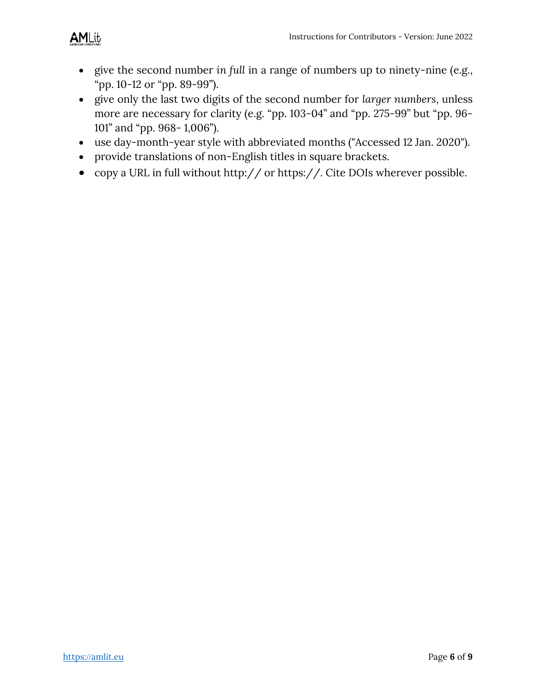- give the second number *in full* in a range of numbers up to ninety-nine (e.g., "pp. 10-12 or "pp. 89-99").
- give only the last two digits of the second number for *larger numbers*, unless more are necessary for clarity (e.g. "pp. 103-04" and "pp. 275-99" but "pp. 96- 101" and "pp. 968- 1,006").
- use day-month-year style with abbreviated months ("Accessed 12 Jan. 2020").
- provide translations of non-English titles in square brackets.
- copy a URL in full without http:// or https://. Cite DOIs wherever possible.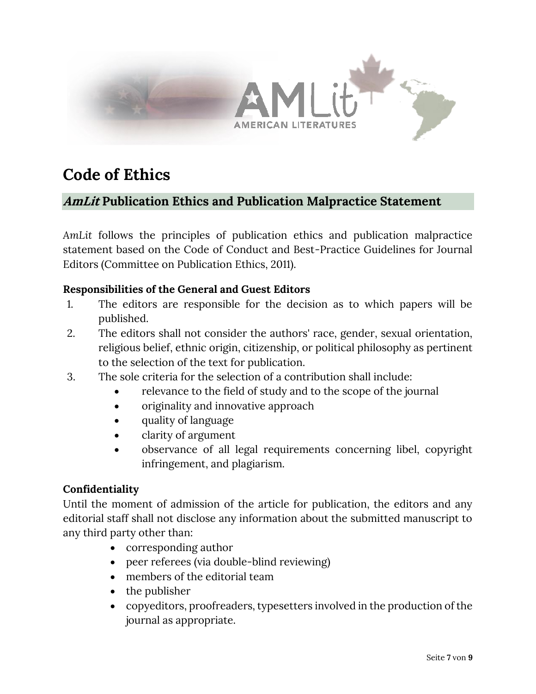

# **Code of Ethics**

## **AmLit Publication Ethics and Publication Malpractice Statement**

*AmLit* follows the principles of publication ethics and publication malpractice statement based on the Code of Conduct and Best-Practice Guidelines for Journal Editors (Committee on Publication Ethics, 2011).

#### **Responsibilities of the General and Guest Editors**

- 1. The editors are responsible for the decision as to which papers will be published.
- 2. The editors shall not consider the authors' race, gender, sexual orientation, religious belief, ethnic origin, citizenship, or political philosophy as pertinent to the selection of the text for publication.
- 3. The sole criteria for the selection of a contribution shall include:
	- relevance to the field of study and to the scope of the journal
	- originality and innovative approach
	- quality of language
	- clarity of argument
	- observance of all legal requirements concerning libel, copyright infringement, and plagiarism.

#### **Confidentiality**

Until the moment of admission of the article for publication, the editors and any editorial staff shall not disclose any information about the submitted manuscript to any third party other than:

- corresponding author
- peer referees (via double-blind reviewing)
- members of the editorial team
- the publisher
- copyeditors, proofreaders, typesetters involved in the production of the journal as appropriate.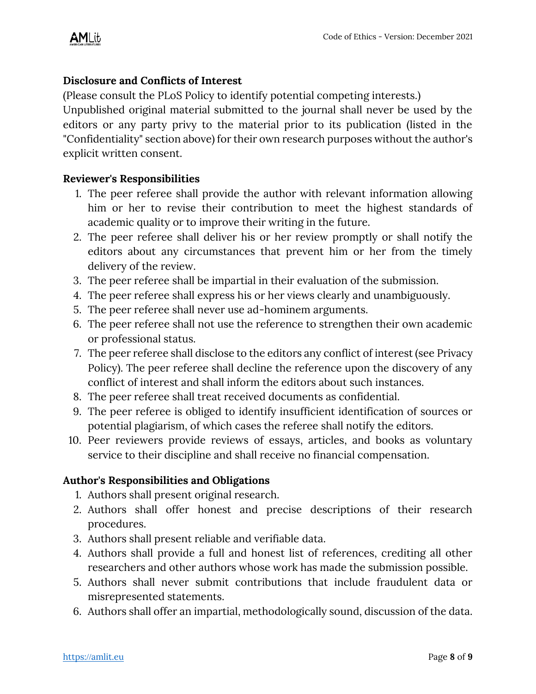## **Disclosure and Conflicts of Interest**

(Please consult the PLoS Policy to identify potential competing interests.)

Unpublished original material submitted to the journal shall never be used by the editors or any party privy to the material prior to its publication (listed in the "Confidentiality" section above) for their own research purposes without the author's explicit written consent.

#### **Reviewer's Responsibilities**

- 1. The peer referee shall provide the author with relevant information allowing him or her to revise their contribution to meet the highest standards of academic quality or to improve their writing in the future.
- 2. The peer referee shall deliver his or her review promptly or shall notify the editors about any circumstances that prevent him or her from the timely delivery of the review.
- 3. The peer referee shall be impartial in their evaluation of the submission.
- 4. The peer referee shall express his or her views clearly and unambiguously.
- 5. The peer referee shall never use ad-hominem arguments.
- 6. The peer referee shall not use the reference to strengthen their own academic or professional status.
- 7. The peer referee shall disclose to the editors any conflict of interest (see Privacy Policy). The peer referee shall decline the reference upon the discovery of any conflict of interest and shall inform the editors about such instances.
- 8. The peer referee shall treat received documents as confidential.
- 9. The peer referee is obliged to identify insufficient identification of sources or potential plagiarism, of which cases the referee shall notify the editors.
- 10. Peer reviewers provide reviews of essays, articles, and books as voluntary service to their discipline and shall receive no financial compensation.

## **Author's Responsibilities and Obligations**

- 1. Authors shall present original research.
- 2. Authors shall offer honest and precise descriptions of their research procedures.
- 3. Authors shall present reliable and verifiable data.
- 4. Authors shall provide a full and honest list of references, crediting all other researchers and other authors whose work has made the submission possible.
- 5. Authors shall never submit contributions that include fraudulent data or misrepresented statements.
- 6. Authors shall offer an impartial, methodologically sound, discussion of the data.